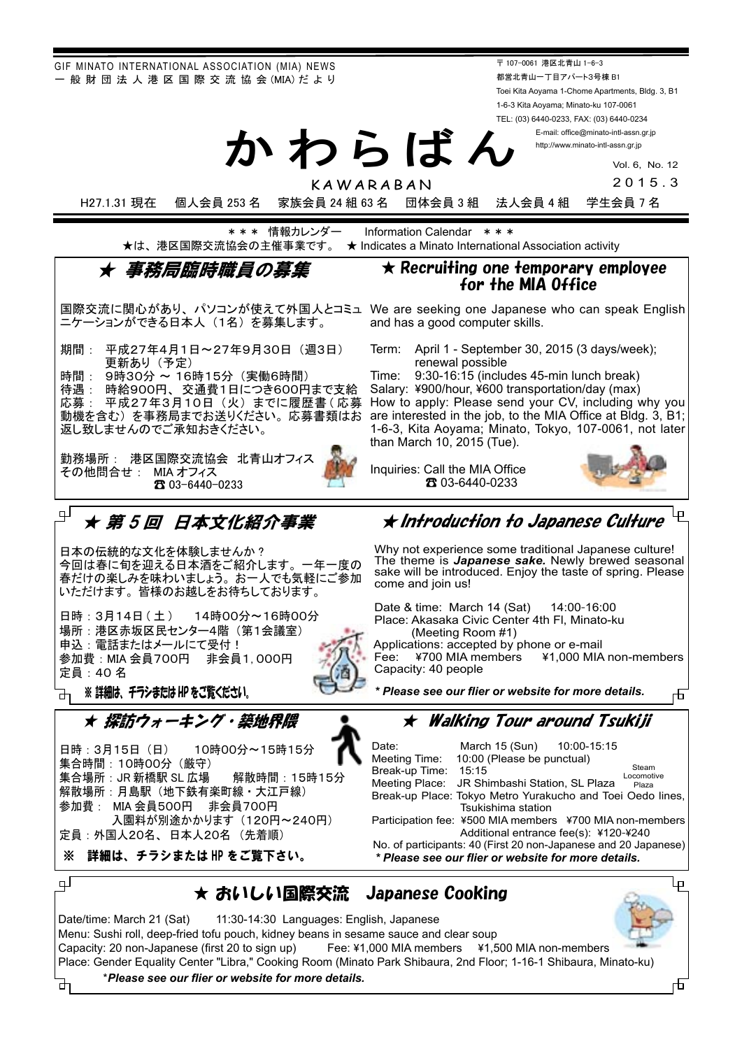GIF MINATO INTERNATIONAL ASSOCIATION (MIA) NEWS - 般 財 団 法 人 港 区 国 際 交 流 協 会 (MIA) だ よ り

〒 107-0061 港区北青山 1-6-3 都営北青山一丁目アパート3号棟 B1 Toei Kita Aoyama 1-Chome Apartments, Bldg. 3, B1 1-6-3 Kita Aoyama; Minato-ku 107-0061 TEL: (03) 6440-0233, FAX: (03) 6440-0234

> E-mail: office@minato-intl-assn.gr.jp http://www.minato-intl-assn.gr.jp

> > Vol. 6, No. 12

2015.3

H27.1.31 現在 個人会員 253 名 家族会員 24 組 63 名 団体会員 3 組 法人会員 4 組 学生会員 7 名

\* \* \* 情報カレンダー Information Calendar \* \* \*<br>最は、港区国際交流協会の主催事業です。 ★ Indicates a Minato Internationa  $\star$  Indicates a Minato International Association activity

かわらばん

KAWARABAN

### 事務局臨時職員の墓隻

国際交流に関心があり、パソコンが使えて外国人とコミュ We are seeking one Japanese who can speak English ニケーションができる日本人 (1名) を募集します。

期間: 平成27年4月1日~27年9月30日 (调3日) 更新あり (予定)

時間: 9時30分 ~ 16時15分(実働6時間)

待遇 : 時給900円、交通費1日につき600円まで支給 .....<br>応募 : 平成27年3月10日(火)までに履歴書(応募 動機を含む)を事務局までお送りください。応募書類はお 返し致しませんのでご承知おきください。

勤務場所: 港区国際交流協会 北青山オフィス その他問合せ: MIA オフィス 03-6440-0233 ☎

# \_\_<br><sub>□</sub> ★ *第 5 回 日本文化紹介事業*

日本の伝統的な文化を体験しませんか? 今回は春に旬を迎える日本酒をご紹介します。一年一度の 春だけの楽しみを味わいましょう。お一人でも気軽にご参加 いただけます。皆様のお越しをお待ちしております。

日時:3月14日 (土 ) 14時00分~16時00分 場所:港区赤坂区民センター4階 (第1会議室) 申込: 電話またはメールにて受付! 参加費: MIA 会員700円 非会員1,000円 定員: 40名

※ 詳細は、 チラシまたは HP をご覧ください。

★ 探訪ウォーキング・築地界隈

日時: 3月15日 (日) 10時00分~15時15分 集合時間: 10時00分 (厳守) 集合場所:JR 新橋駅 SL 広場 解散時間:15時15分 解散場所:月島駅(地下鉄有楽町線・大江戸線) 参加費 : MIA 会員500円 非会員700円 入園料が別途かかります (120円~240円) 定員:外国人20名、日本人20名 (先着順)

※ 詳細は、チラシまたは HP をご覧下さい。

ᅪ

#### 4 ★ Introduction to Japanese Culture

 $\star$  Recruiting one temporary employee for the MIA Office

Term: April 1 - September 30, 2015 (3 days/week);

How to apply: Please send your CV, including why you are interested in the job, to the MIA Office at Bldg.  $3, B1$ ; 1-6-3, Kita Aoyama; Minato, Tokyo, 107-0061, not later

 $Time: 9:30-16:15$  (includes 45-min lunch break) Salary: ¥900/hour, ¥600 transportation/day (max)

and has a good computer skills.

renewal possible

than March  $10, 2015$  (Tue).

Inquiries: Call the MIA Office

03-6440-0233 ☎

The theme is **Japanese sake.** Newly brewed seasonal sake will be introduced. Enjoy the taste of spring. Please

Place: Akasaka Civic Center 4th Fl, Minato-ku (Meeting Room #1)

Fee: ¥700 MIA members ¥1,000 MIA non-members Capacity: 40 people

★ Walking Tour around Tsukiii

*.details more for website or flier our see Please\** 

|  | Date:                                                                                                                |  | March 15 (Sun) 10:00-15:15 |  |  |                     |  |
|--|----------------------------------------------------------------------------------------------------------------------|--|----------------------------|--|--|---------------------|--|
|  | Meeting Time:                                                                                                        |  | 10:00 (Please be punctual) |  |  |                     |  |
|  | Break-up Time: 15:15                                                                                                 |  |                            |  |  | Steam<br>Locomotive |  |
|  | Meeting Place: JR Shimbashi Station, SL Plaza<br>Plaza<br>Break-up Place: Tokyo Metro Yurakucho and Toei Oedo lines, |  |                            |  |  |                     |  |
|  |                                                                                                                      |  |                            |  |  |                     |  |
|  | Tsukishima station                                                                                                   |  |                            |  |  |                     |  |
|  | Participation fee: ¥500 MIA members ¥700 MIA non-members                                                             |  |                            |  |  |                     |  |
|  | Additional entrance fee(s): ¥120-¥240                                                                                |  |                            |  |  |                     |  |
|  | No. of participants: 40 (First 20 non-Japanese and 20 Japanese)                                                      |  |                            |  |  |                     |  |
|  | * Please see our flier or website for more details.                                                                  |  |                            |  |  |                     |  |

## <u>→</u><br>
★ おいしい国際交流 Japanese Cooking



市

市

*.details more for website or flier our see Please*\*

Date/time: March 21 (Sat) 11:30-14:30 Languages: English, Japanese

Menu: Sushi roll, deep-fried tofu pouch, kidney beans in sesame sauce and clear soup Capacity: 20 non-Japanese (first 20 to sign up) Fee: ¥1,000 MIA members  $\frac{41.5}{5}$ 

Why not experience some traditional Japanese culture!

come and join us!

Date & time: March 14 (Sat) 14:00-16:00

Applications: accepted by phone or e-mail<br>Fee:  $\angle$  ¥700 MIA members  $\angle$  ¥1,000 MIA